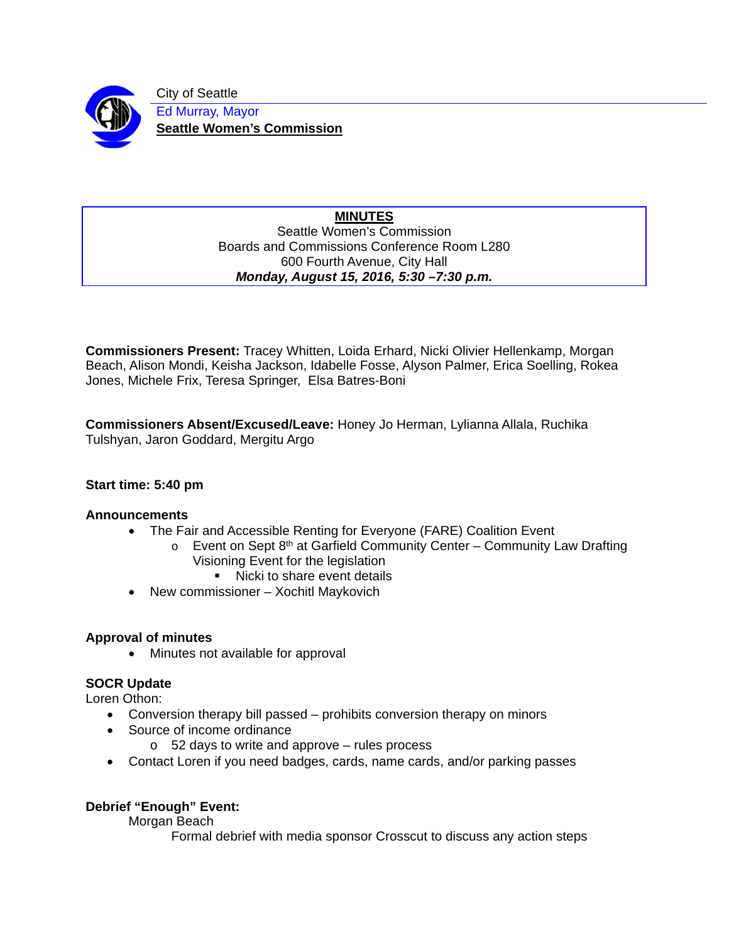

City of Seattle Ed Murray, Mayor **Seattle Women's Commission** 

## **MINUTES**  Seattle Women's Commission Boards and Commissions Conference Room L280 600 Fourth Avenue, City Hall *Monday, August 15, 2016, 5:30 –7:30 p.m.*

**Commissioners Present:** Tracey Whitten, Loida Erhard, Nicki Olivier Hellenkamp, Morgan Beach, Alison Mondi, Keisha Jackson, Idabelle Fosse, Alyson Palmer, Erica Soelling, Rokea Jones, Michele Frix, Teresa Springer, Elsa Batres-Boni

**Commissioners Absent/Excused/Leave:** Honey Jo Herman, Lylianna Allala, Ruchika Tulshyan, Jaron Goddard, Mergitu Argo

# **Start time: 5:40 pm**

## **Announcements**

- The Fair and Accessible Renting for Everyone (FARE) Coalition Event
	- $\circ$  Event on Sept 8<sup>th</sup> at Garfield Community Center Community Law Drafting Visioning Event for the legislation
		- Nicki to share event details
- New commissioner Xochitl Maykovich

## **Approval of minutes**

• Minutes not available for approval

# **SOCR Update**

Loren Othon:

- Conversion therapy bill passed prohibits conversion therapy on minors
- Source of income ordinance
	- o 52 days to write and approve rules process
- Contact Loren if you need badges, cards, name cards, and/or parking passes

# **Debrief "Enough" Event:**

Morgan Beach

Formal debrief with media sponsor Crosscut to discuss any action steps